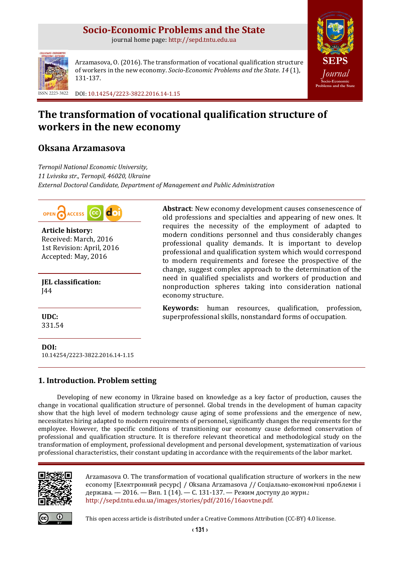# **Socio-Economic Problems and the State**

journal home page: [http://sepd.tntu.edu.ua](http://sepd.tntu.edu.ua/)



Arzamasova, O. (2016). The transformation of vocational qualification structure of workers in the new economy. *Socio-Economic Problems and the State*. *14* (1), 131-137.



ISSN 2223-3822 DOI[: 10.14254/2223-3822.2016.14-1.15](http://dx.doi.org/10.14254/2223-3822.2016.14-1.15)

# **The transformation of vocational qualification structure of workers in the new economy**

# **Oksana Arzamasova**

*Ternopil National Economic University, 11 Lvivska str., Теrnopil, 46020, Ukraine External Doctoral Candidate, Department of Management and Public Administration*



**Article history:** Received: March, 2016 1st Revision: April, 2016 Accepted: May, 2016

**JEL classification:** J44

**UDC:** 331.54

**DOI:** [10.14254/2223-3822.2016.14-1.15](http://dx.doi.org/10.14254/2223-3822.2016.14-1.15) **Abstract**: New economy development causes consenescence of old professions and specialties and appearing of new ones. It requires the necessity of the employment of adapted to modern conditions personnel and thus considerably changes professional quality demands. It is important to develop professional and qualification system which would correspond to modern requirements and foresee the prospective of the change, suggest complex approach to the determination of the need in qualified specialists and workers of production and nonproduction spheres taking into consideration national economy structure.

**Keywords:** human resources, qualification, profession, superprofessional skills, nonstandard forms of occupation.

# **1. Introduction. Problem setting**

Developing of new economy in Ukraine based on knowledge as a key factor of production, causes the change in vocational qualification structure of personnel. Global trends in the development of human capacity show that the high level of modern technology cause aging of some professions and the emergence of new, necessitates hiring adapted to modern requirements of personnel, significantly changes the requirements for the employee. However, the specific conditions of transitioning our economy cause deformed conservation of professional and qualification structure. It is therefore relevant theoretical and methodological study on the transformation of employment, professional development and personal development, systematization of various professional characteristics, their constant updating in accordance with the requirements of the labor market.



Arzamasova O. The transformation of vocational qualification structure of workers in the new economy [Електронний ресурс] / Oksana Arzamasova // Соціально-економічні проблеми і держава. — 2016. — Вип. 1 (14). — С. 131-137. — Режим доступу до журн.: [http://sepd.tntu.edu.ua/images/stories/pdf/2016/16aovtne.pdf.](http://sepd.tntu.edu.ua/images/stories/pdf/2016/16kivrdp.pdf)



This open access article is distributed under [a Creative Commons Attribution \(CC-BY\) 4.0 license.](http://creativecommons.org/licenses/by/4.0/)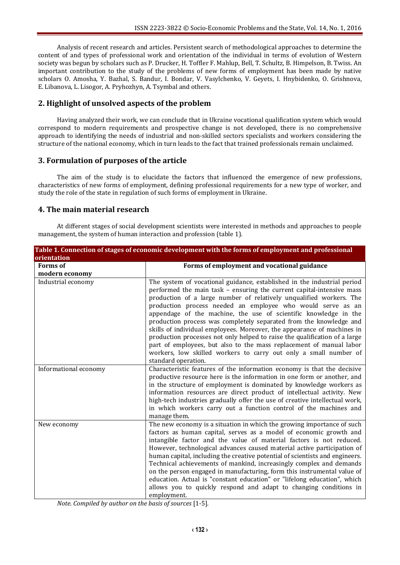Analysis of recent research and articles. Persistent search of methodological approaches to determine the content of and types of professional work and orientation of the individual in terms of evolution of Western society was begun by scholars such as P. Drucker, H. Toffler F. Mahlup, Bell, T. Schultz, B. Himpelson, B. Twiss. An important contribution to the study of the problems of new forms of employment has been made by native scholars O. Amosha, Y. Bazhal, S. Bandur, I. Bondar, V. Vasylchenko, V. Geyets, I. Hnybidenko, O. Grishnova, E. Libanova, L. Lisogor, A. Pryhozhyn, A. Tsymbal and others.

## **2. Highlight of unsolved aspects of the problem**

Having analyzed their work, we can conclude that in Ukraine vocational qualification system which would correspond to modern requirements and prospective change is not developed, there is no comprehensive approach to identifying the needs of industrial and non-skilled sectors specialists and workers considering the structure of the national economy, which in turn leads to the fact that trained professionals remain unclaimed.

## **3. Formulation of purposes of the article**

The aim of the study is to elucidate the factors that influenced the emergence of new professions, characteristics of new forms of employment, defining professional requirements for a new type of worker, and study the role of the state in regulation of such forms of employment in Ukraine.

## **4. The main material research**

At different stages of social development scientists were interested in methods and approaches to people management, the system of human interaction and profession (table 1).

| Table 1. Connection of stages of economic development with the forms of employment and professional |                                                                                                                                                                                                                                                                                                                                                                                                                                                                                                                                                                                                                                                                                                                                                             |
|-----------------------------------------------------------------------------------------------------|-------------------------------------------------------------------------------------------------------------------------------------------------------------------------------------------------------------------------------------------------------------------------------------------------------------------------------------------------------------------------------------------------------------------------------------------------------------------------------------------------------------------------------------------------------------------------------------------------------------------------------------------------------------------------------------------------------------------------------------------------------------|
| orientation                                                                                         |                                                                                                                                                                                                                                                                                                                                                                                                                                                                                                                                                                                                                                                                                                                                                             |
| <b>Forms</b> of                                                                                     | Forms of employment and vocational guidance                                                                                                                                                                                                                                                                                                                                                                                                                                                                                                                                                                                                                                                                                                                 |
| modern economy                                                                                      |                                                                                                                                                                                                                                                                                                                                                                                                                                                                                                                                                                                                                                                                                                                                                             |
| Industrial economy                                                                                  | The system of vocational guidance, established in the industrial period<br>performed the main task - ensuring the current capital-intensive mass<br>production of a large number of relatively unqualified workers. The<br>production process needed an employee who would serve as an<br>appendage of the machine, the use of scientific knowledge in the<br>production process was completely separated from the knowledge and<br>skills of individual employees. Moreover, the appearance of machines in<br>production processes not only helped to raise the qualification of a large<br>part of employees, but also to the mass replacement of manual labor<br>workers, low skilled workers to carry out only a small number of<br>standard operation. |
| Informational economy                                                                               | Characteristic features of the information economy is that the decisive<br>productive resource here is the information in one form or another, and<br>in the structure of employment is dominated by knowledge workers as<br>information resources are direct product of intellectual activity. New<br>high-tech industries gradually offer the use of creative intellectual work,<br>in which workers carry out a function control of the machines and<br>manage them.                                                                                                                                                                                                                                                                                     |
| New economy                                                                                         | The new economy is a situation in which the growing importance of such<br>factors as human capital, serves as a model of economic growth and<br>intangible factor and the value of material factors is not reduced.<br>However, technological advances caused material active participation of<br>human capital, including the creative potential of scientists and engineers.<br>Technical achievements of mankind, increasingly complex and demands<br>on the person engaged in manufacturing, form this instrumental value of<br>education. Actual is "constant education" or "lifelong education", which<br>allows you to quickly respond and adapt to changing conditions in<br>employment.                                                            |

*Note. Compiled by author on the basis of sources* [1-5]*.*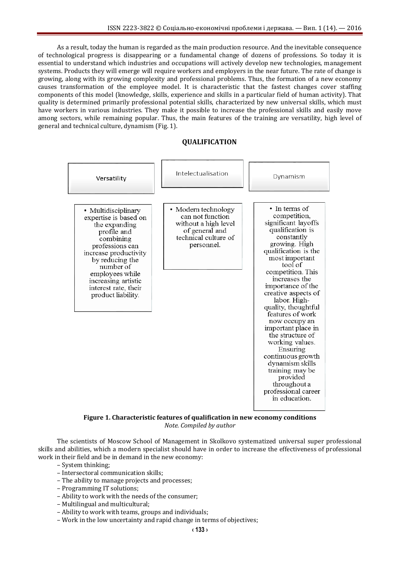As a result, today the human is regarded as the main production resource. And the inevitable consequence of technological progress is disappearing or a fundamental change of dozens of professions. So today it is essential to understand which industries and occupations will actively develop new technologies, management systems. Products they will emerge will require workers and employers in the near future. The rate of change is growing, along with its growing complexity and professional problems. Thus, the formation of a new economy causes transformation of the employee model. It is characteristic that the fastest changes cover staffing components of this model (knowledge, skills, experience and skills in a particular field of human activity). That quality is determined primarily professional potential skills, characterized by new universal skills, which must have workers in various industries. They make it possible to increase the professional skills and easily move among sectors, while remaining popular. Thus, the main features of the training are versatility, high level of general and technical culture, dynamism (Fig. 1).

#### **QUALIFICATION**



**Figure 1. Characteristic features of qualification in new economy conditions** *Note. Compiled by author*

The scientists of Moscow School of Management in Skolkovo systematized universal super professional skills and abilities, which a modern specialist should have in order to increase the effectiveness of professional work in their field and be in demand in the new economy:

- System thinking;
- Intersectoral communication skills;
- The ability to manage projects and processes;
- Programming IT solutions;
- Ability to work with the needs of the consumer;
- Multilingual and multicultural;
- Ability to work with teams, groups and individuals;
- Work in the low uncertainty and rapid change in terms of objectives;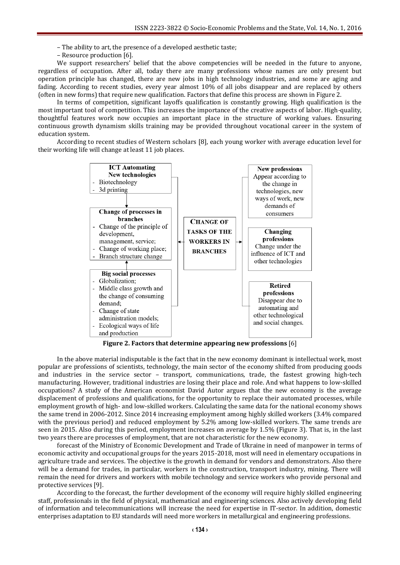– The ability to art, the presence of a developed aesthetic taste;

– Resource production [6].

We support researchers' belief that the above competencies will be needed in the future to anyone, regardless of occupation. After all, today there are many professions whose names are only present but operation principle has changed, there are new jobs in high technology industries, and some are aging and fading. According to recent studies, every year almost 10% of all jobs disappear and are replaced by others (often in new forms) that require new qualification. Factors that define this process are shown in Figure 2.

In terms of competition, significant layoffs qualification is constantly growing. High qualification is the most important tool of competition. This increases the importance of the creative aspects of labor. High-quality, thoughtful features work now occupies an important place in the structure of working values. Ensuring continuous growth dynamism skills training may be provided throughout vocational career in the system of education system.

According to recent studies of Western scholars [8], each young worker with average education level for their working life will change at least 11 job places.



**Figure 2. Factors that determine appearing new professions** [6]

In the above material indisputable is the fact that in the new economy dominant is intellectual work, most popular are professions of scientists, technology, the main sector of the economy shifted from producing goods and industries in the service sector – transport, communications, trade, the fastest growing high-tech manufacturing. However, traditional industries are losing their place and role. And what happens to low-skilled occupations? A study of the American economist David Autor argues that the new economy is the average displacement of professions and qualifications, for the opportunity to replace their automated processes, while employment growth of high- and low-skilled workers. Calculating the same data for the national economy shows the same trend in 2006-2012. Since 2014 increasing employment among highly skilled workers (3.4% compared with the previous period) and reduced employment by 5.2% among low-skilled workers. The same trends are seen in 2015. Also during this period, employment increases on average by 1.5% (Figure 3). That is, in the last two years there are processes of employment, that are not characteristic for the new economy.

forecast of the Ministry of Economic Development and Trade of Ukraine in need of manpower in terms of economic activity and occupational groups for the years 2015-2018, most will need in elementary occupations in agriculture trade and services. The objective is the growth in demand for vendors and demonstrators. Also there will be a demand for trades, in particular, workers in the construction, transport industry, mining. There will remain the need for drivers and workers with mobile technology and service workers who provide personal and protective services [9].

According to the forecast, the further development of the economy will require highly skilled engineering staff, professionals in the field of physical, mathematical and engineering sciences. Also actively developing field of information and telecommunications will increase the need for expertise in IT-sector. In addition, domestic enterprises adaptation to EU standards will need more workers in metallurgical and engineering professions.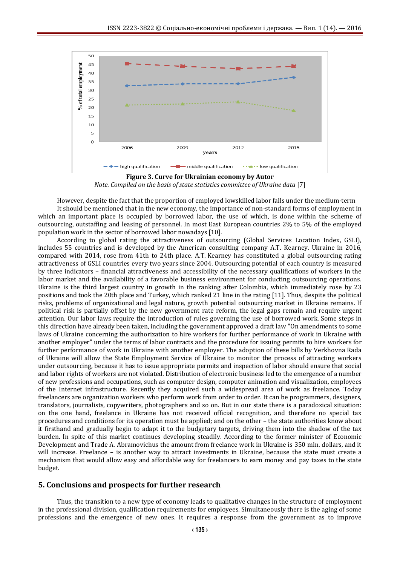

**Figure 3. Curve for Ukrainian economy by Autor** *Note. Compiled on the basis of state statistics committee of Ukraine data* [7]

However, despite the fact that the proportion of employed lowskilled labor falls under the medium-term It should be mentioned that in the new economy, the importance of non-standard forms of employment in

which an important place is occupied by borrowed labor, the use of which, is done within the scheme of outsourcing, outstaffing and leasing of personnel. In most East European countries 2% to 5% of the employed population work in the sector of borrowed labor nowadays [10].

According to global rating the attractiveness of outsourcing (Global Services Location Index, GSLI), includes 55 countries and is developed by the American consulting company A.T. Kearney. Ukraine in 2016, compared with 2014, rose from 41th to 24th place. A.T. Kearney has constituted a global outsourcing rating attractiveness of GSLI countries every two years since 2004. Outsourcing potential of each country is measured by three indicators – financial attractiveness and accessibility of the necessary qualifications of workers in the labor market and the availability of a favorable business environment for conducting outsourcing operations. Ukraine is the third largest country in growth in the ranking after Colombia, which immediately rose by 23 positions and took the 20th place and Turkey, which ranked 21 line in the rating [11]. Thus, despite the political risks, problems of organizational and legal nature, growth potential outsourcing market in Ukraine remains. If political risk is partially offset by the new government rate reform, the legal gaps remain and require urgent attention. Our labor laws require the introduction of rules governing the use of borrowed work. Some steps in this direction have already been taken, including the government approved a draft law "On amendments to some laws of Ukraine concerning the authorization to hire workers for further performance of work in Ukraine with another employer" under the terms of labor contracts and the procedure for issuing permits to hire workers for further performance of work in Ukraine with another employer. The adoption of these bills by Verkhovna Rada of Ukraine will allow the State Employment Service of Ukraine to monitor the process of attracting workers under outsourcing, because it has to issue appropriate permits and inspection of labor should ensure that social and labor rights of workers are not violated. Distribution of electronic business led to the emergence of a number of new professions and occupations, such as computer design, computer animation and visualization, employees of the Internet infrastructure. Recently they acquired such a widespread area of work as freelance. Today freelancers are organization workers who perform work from order to order. It can be programmers, designers, translators, journalists, copywriters, photographers and so on. But in our state there is a paradoxical situation: on the one hand, freelance in Ukraine has not received official recognition, and therefore no special tax procedures and conditions for its operation must be applied; and on the other – the state authorities know about it firsthand and gradually begin to adapt it to the budgetary targets, driving them into the shadow of the tax burden. In spite of this market continues developing steadily. According to the former minister of Economic Development and Trade A. Abramovichus the amount from freelance work in Ukraine is 350 mln. dollars, and it will increase. Freelance – is another way to attract investments in Ukraine, because the state must create a mechanism that would allow easy and affordable way for freelancers to earn money and pay taxes to the state budget.

### **5. Conclusions and prospects for further research**

Thus, the transition to a new type of economy leads to qualitative changes in the structure of employment in the professional division, qualification requirements for employees. Simultaneously there is the aging of some professions and the emergence of new ones. It requires a response from the government as to improve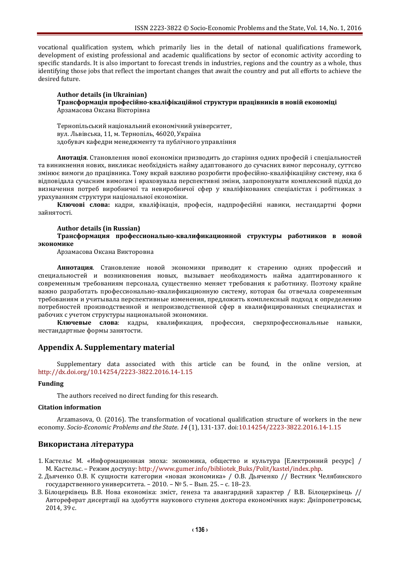vocational qualification system, which primarily lies in the detail of national qualifications framework, development of existing professional and academic qualifications by sector of economic activity according to specific standards. It is also important to forecast trends in industries, regions and the country as a whole, thus identifying those jobs that reflect the important changes that await the country and put all efforts to achieve the desired future.

#### **Author details (in Ukrainian) Трансформація професійно-кваліфікаційної структури працівників в новій економіці** Арзамасова Оксана Вікторівна

Тернопільський національний економічний університет, вул. Львівська, 11, м. Тернопіль, 46020, Україна здобувач кафедри менеджменту та публічного управління

**Анотація**. Становлення нової економіки призводить до старіння одних професій і спеціальностей та виникнення нових, викликає необхідність найму адаптованого до сучасних вимог персоналу, суттєво змінює вимоги до працівника. Тому вкрай важливо розробити професійно-кваліфікаційну систему, яка б відповідала сучасним вимогам і враховувала перспективні зміни, запропонувати комплексний підхід до визначення потреб виробничої та невиробничої сфер у кваліфікованих спеціалістах і робітниках з урахуванням структури національної економіки.

**Ключові слова:** кадри, кваліфікація, професія, надпрофесійні навики, нестандартні форми зайнятості.

#### **Author details (in Russian)**

**Трансформация профессионально-квалификационной структуры работников в новой экономике**

Арзамасова Оксана Викторовна

**Аннотация**. Становление новой экономики приводит к старению одних профессий и специальностей и возникновения новых, вызывает необходимость найма адаптированного к современным требованиям персонала, существенно меняет требования к работнику. Поэтому крайне важно разработать профессионально-квалификационную систему, которая бы отвечала современным требованиям и учитывала перспективные изменения, предложить комплексный подход к определению потребностей производственной и непроизводственной сфер в квалифицированных специалистах и рабочих с учетом структуры национальной экономики.

**Ключевые слова**: кадры, квалификация, профессия, сверхпрофессиональные навыки, нестандартные формы занятости.

### **Appendix A. Supplementary material**

Supplementary data associated with this article can be found, in the online version, at <http://dx.doi.org/10.14254/2223-3822.2016.14-1.15>

#### **Funding**

The authors received no direct funding for this research.

### **Citation information**

Arzamasova, O. (2016). The transformation of vocational qualification structure of workers in the new economy. *Socio-Economic Problems and the State*. *14* (1), 131-137. [doi:10.14254/2223-3822.2016.14-1.15](http://dx.doi.org/10.14254/2223-3822.2016.14-1.15)

### **Використана література**

- 1. Кастельс М. «Информационная эпоха: экономика, общество и культура [Електронний ресурс] / М. Кастельс. – Режим доступу: [http://www.gumer.info/bibliotek\\_Buks/Polit/kastel/index.php.](http://www.gumer.info/bibliotek_Buks/Polit/kastel/index.php)
- 2. Дьяченко О.В. К сущности категории «новая экономика» / О.В. Дьяченко // Вестник Челябинского государственного университета. – 2010. – № 5. – Вып. 25. – с. 18–23.
- 3. Білоцерківець В.В. Нова економіка: зміст, ґенеза та авангардний характер / В.В. Білоцерківець // Автореферат дисертації на здобуття наукового ступеня доктора економічних наук: Дніпропетровськ, 2014, 39 с.